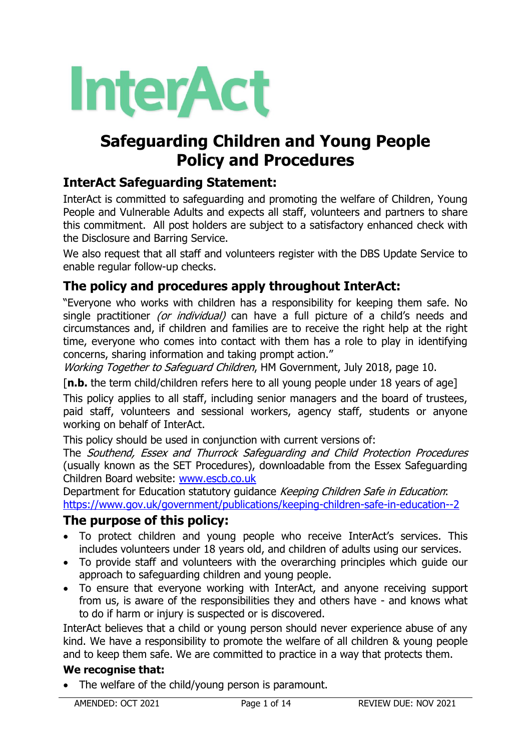# **Safeguarding Children and Young People Policy and Procedures**

# **InterAct Safeguarding Statement:**

InterAct is committed to safeguarding and promoting the welfare of Children, Young People and Vulnerable Adults and expects all staff, volunteers and partners to share this commitment. All post holders are subject to a satisfactory enhanced check with the Disclosure and Barring Service.

We also request that all staff and volunteers register with the DBS Update Service to enable regular follow-up checks.

# **The policy and procedures apply throughout InterAct:**

"Everyone who works with children has a responsibility for keeping them safe. No single practitioner (or individual) can have a full picture of a child's needs and circumstances and, if children and families are to receive the right help at the right time, everyone who comes into contact with them has a role to play in identifying concerns, sharing information and taking prompt action."

Working Together to Safeguard Children, HM Government, July 2018, page 10.

[**n.b.** the term child/children refers here to all young people under 18 years of age]

This policy applies to all staff, including senior managers and the board of trustees, paid staff, volunteers and sessional workers, agency staff, students or anyone working on behalf of InterAct.

This policy should be used in conjunction with current versions of:

The Southend, Essex and Thurrock Safeguarding and Child Protection Procedures (usually known as the SET Procedures), downloadable from the Essex Safeguarding Children Board website: [www.escb.co.uk](http://www.escb.co.uk/)

Department for Education statutory guidance Keeping Children Safe in Education: <https://www.gov.uk/government/publications/keeping-children-safe-in-education--2>

# **The purpose of this policy:**

- To protect children and young people who receive InterAct's services. This includes volunteers under 18 years old, and children of adults using our services.
- To provide staff and volunteers with the overarching principles which guide our approach to safeguarding children and young people.
- To ensure that everyone working with InterAct, and anyone receiving support from us, is aware of the responsibilities they and others have - and knows what to do if harm or injury is suspected or is discovered.

InterAct believes that a child or young person should never experience abuse of any kind. We have a responsibility to promote the welfare of all children & young people and to keep them safe. We are committed to practice in a way that protects them.

# **We recognise that:**

• The welfare of the child/young person is paramount.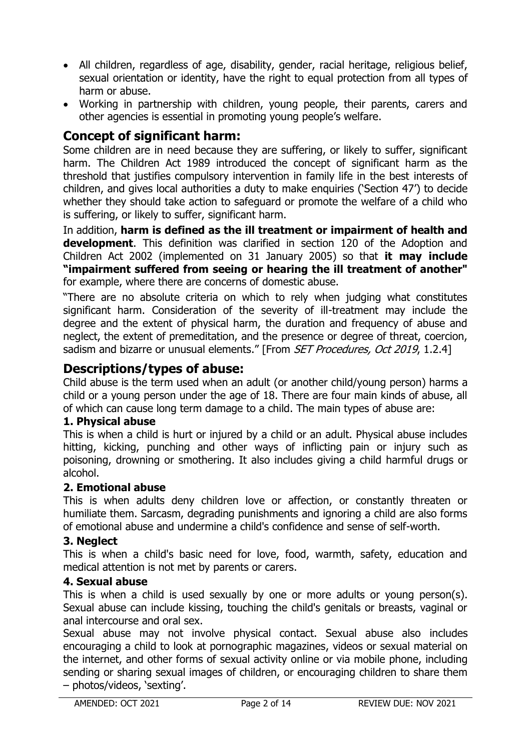- All children, regardless of age, disability, gender, racial heritage, religious belief, sexual orientation or identity, have the right to equal protection from all types of harm or abuse.
- Working in partnership with children, young people, their parents, carers and other agencies is essential in promoting young people's welfare.

# **Concept of significant harm:**

Some children are in need because they are suffering, or likely to suffer, significant harm. The Children Act 1989 introduced the concept of significant harm as the threshold that justifies compulsory intervention in family life in the best interests of children, and gives local authorities a duty to make enquiries ('Section 47') to decide whether they should take action to safeguard or promote the welfare of a child who is suffering, or likely to suffer, significant harm.

In addition, **harm is defined as the ill treatment or impairment of health and development**. This definition was clarified in section 120 of the Adoption and Children Act 2002 (implemented on 31 January 2005) so that **it may include "impairment suffered from seeing or hearing the ill treatment of another"**  for example, where there are concerns of domestic abuse.

"There are no absolute criteria on which to rely when judging what constitutes significant harm. Consideration of the severity of ill-treatment may include the degree and the extent of physical harm, the duration and frequency of abuse and neglect, the extent of premeditation, and the presence or degree of threat, coercion, sadism and bizarre or unusual elements." [From SET Procedures, Oct 2019, 1.2.4]

# **Descriptions/types of abuse:**

Child abuse is the term used when an adult (or another child/young person) harms a child or a young person under the age of 18. There are four main kinds of abuse, all of which can cause long term damage to a child. The main types of abuse are:

#### **1. Physical abuse**

This is when a child is hurt or injured by a child or an adult. Physical abuse includes hitting, kicking, punching and other ways of inflicting pain or injury such as poisoning, drowning or smothering. It also includes giving a child harmful drugs or alcohol.

#### **2. Emotional abuse**

This is when adults deny children love or affection, or constantly threaten or humiliate them. Sarcasm, degrading punishments and ignoring a child are also forms of emotional abuse and undermine a child's confidence and sense of self-worth.

#### **3. Neglect**

This is when a child's basic need for love, food, warmth, safety, education and medical attention is not met by parents or carers.

#### **4. Sexual abuse**

This is when a child is used sexually by one or more adults or young person(s). Sexual abuse can include kissing, touching the child's genitals or breasts, vaginal or anal intercourse and oral sex.

Sexual abuse may not involve physical contact. Sexual abuse also includes encouraging a child to look at pornographic magazines, videos or sexual material on the internet, and other forms of sexual activity online or via mobile phone, including sending or sharing sexual images of children, or encouraging children to share them – photos/videos, 'sexting'.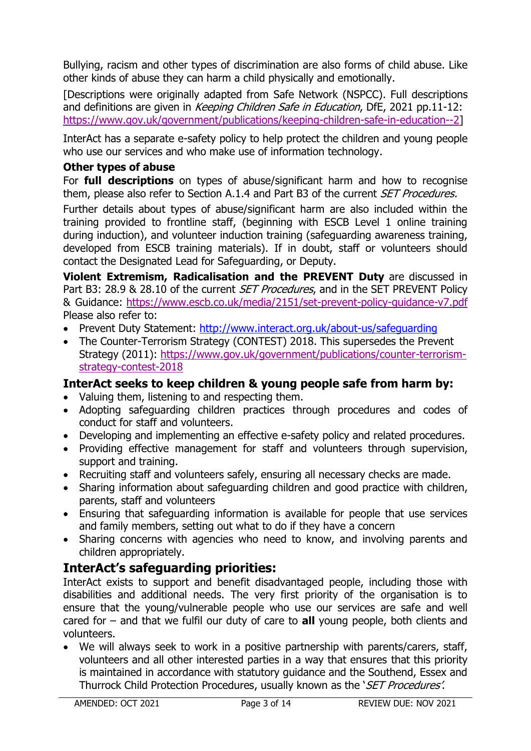Bullying, racism and other types of discrimination are also forms of child abuse. Like other kinds of abuse they can harm a child physically and emotionally.

[Descriptions were originally adapted from Safe Network (NSPCC). Full descriptions and definitions are given in Keeping Children Safe in Education, DfE, 2021 pp.11-12: [https://www.gov.uk/government/publications/keeping-children-safe-in-education--2\]](https://www.gov.uk/government/publications/keeping-children-safe-in-education--2)

InterAct has a separate e-safety policy to help protect the children and young people who use our services and who make use of information technology.

#### **Other types of abuse**

For **full descriptions** on types of abuse/significant harm and how to recognise them, please also refer to Section A.1.4 and Part B3 of the current *SET Procedures.* 

Further details about types of abuse/significant harm are also included within the training provided to frontline staff, (beginning with ESCB Level 1 online training during induction), and volunteer induction training (safeguarding awareness training, developed from ESCB training materials). If in doubt, staff or volunteers should contact the Designated Lead for Safeguarding, or Deputy.

**Violent Extremism, Radicalisation and the PREVENT Duty** are discussed in Part B3: 28.9 & 28.10 of the current *SET Procedures*, and in the SET PREVENT Policy & Guidance: <https://www.escb.co.uk/media/2151/set-prevent-policy-guidance-v7.pdf> Please also refer to:

- Prevent Duty Statement: <http://www.interact.org.uk/about-us/safeguarding>
- The Counter-Terrorism Strategy (CONTEST) 2018. This supersedes the Prevent Strategy (2011): [https://www.gov.uk/government/publications/counter-terrorism](https://www.gov.uk/government/publications/counter-terrorism-strategy-contest-2018)[strategy-contest-2018](https://www.gov.uk/government/publications/counter-terrorism-strategy-contest-2018)

# **InterAct seeks to keep children & young people safe from harm by:**

- Valuing them, listening to and respecting them.
- Adopting safeguarding children practices through procedures and codes of conduct for staff and volunteers.
- Developing and implementing an effective e-safety policy and related procedures.
- Providing effective management for staff and volunteers through supervision, support and training.
- Recruiting staff and volunteers safely, ensuring all necessary checks are made.
- Sharing information about safeguarding children and good practice with children, parents, staff and volunteers
- Ensuring that safeguarding information is available for people that use services and family members, setting out what to do if they have a concern
- Sharing concerns with agencies who need to know, and involving parents and children appropriately.

# **InterAct's safeguarding priorities:**

InterAct exists to support and benefit disadvantaged people, including those with disabilities and additional needs. The very first priority of the organisation is to ensure that the young/vulnerable people who use our services are safe and well cared for – and that we fulfil our duty of care to **all** young people, both clients and volunteers.

 We will always seek to work in a positive partnership with parents/carers, staff, volunteers and all other interested parties in a way that ensures that this priority is maintained in accordance with statutory guidance and the Southend, Essex and Thurrock Child Protection Procedures, usually known as the '*SET Procedures'*.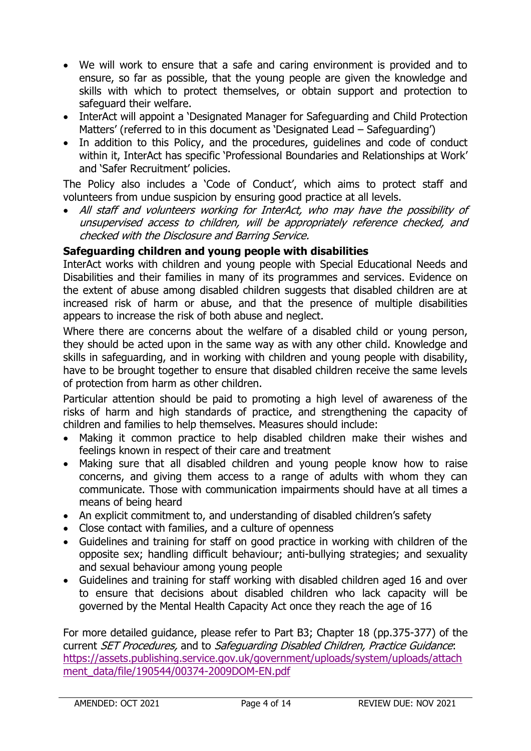- We will work to ensure that a safe and caring environment is provided and to ensure, so far as possible, that the young people are given the knowledge and skills with which to protect themselves, or obtain support and protection to safeguard their welfare.
- InterAct will appoint a 'Designated Manager for Safeguarding and Child Protection Matters' (referred to in this document as 'Designated Lead – Safeguarding')
- In addition to this Policy, and the procedures, quidelines and code of conduct within it, InterAct has specific 'Professional Boundaries and Relationships at Work' and 'Safer Recruitment' policies.

The Policy also includes a 'Code of Conduct', which aims to protect staff and volunteers from undue suspicion by ensuring good practice at all levels.

 All staff and volunteers working for InterAct, who may have the possibility of unsupervised access to children, will be appropriately reference checked, and checked with the Disclosure and Barring Service.

#### **Safeguarding children and young people with disabilities**

InterAct works with children and young people with Special Educational Needs and Disabilities and their families in many of its programmes and services. Evidence on the extent of abuse among disabled children suggests that disabled children are at increased risk of harm or abuse, and that the presence of multiple disabilities appears to increase the risk of both abuse and neglect.

Where there are concerns about the welfare of a disabled child or young person, they should be acted upon in the same way as with any other child. Knowledge and skills in safeguarding, and in working with children and young people with disability, have to be brought together to ensure that disabled children receive the same levels of protection from harm as other children.

Particular attention should be paid to promoting a high level of awareness of the risks of harm and high standards of practice, and strengthening the capacity of children and families to help themselves. Measures should include:

- Making it common practice to help disabled children make their wishes and feelings known in respect of their care and treatment
- Making sure that all disabled children and young people know how to raise concerns, and giving them access to a range of adults with whom they can communicate. Those with communication impairments should have at all times a means of being heard
- An explicit commitment to, and understanding of disabled children's safety
- Close contact with families, and a culture of openness
- Guidelines and training for staff on good practice in working with children of the opposite sex; handling difficult behaviour; anti-bullying strategies; and sexuality and sexual behaviour among young people
- Guidelines and training for staff working with disabled children aged 16 and over to ensure that decisions about disabled children who lack capacity will be governed by the Mental Health Capacity Act once they reach the age of 16

For more detailed guidance, please refer to Part B3; Chapter 18 (pp.375-377) of the current SET Procedures, and to Safeguarding Disabled Children, Practice Guidance: [https://assets.publishing.service.gov.uk/government/uploads/system/uploads/attach](https://assets.publishing.service.gov.uk/government/uploads/system/uploads/attachment_data/file/190544/00374-2009DOM-EN.pdf) [ment\\_data/file/190544/00374-2009DOM-EN.pdf](https://assets.publishing.service.gov.uk/government/uploads/system/uploads/attachment_data/file/190544/00374-2009DOM-EN.pdf)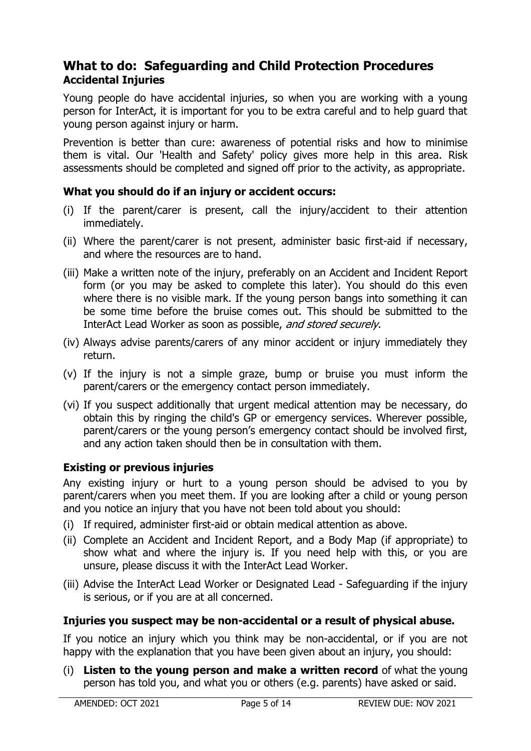# **What to do: Safeguarding and Child Protection Procedures Accidental Injuries**

Young people do have accidental injuries, so when you are working with a young person for InterAct, it is important for you to be extra careful and to help guard that young person against injury or harm.

Prevention is better than cure: awareness of potential risks and how to minimise them is vital. Our 'Health and Safety' policy gives more help in this area. Risk assessments should be completed and signed off prior to the activity, as appropriate.

#### **What you should do if an injury or accident occurs:**

- (i) If the parent/carer is present, call the injury/accident to their attention immediately.
- (ii) Where the parent/carer is not present, administer basic first-aid if necessary, and where the resources are to hand.
- (iii) Make a written note of the injury, preferably on an Accident and Incident Report form (or you may be asked to complete this later). You should do this even where there is no visible mark. If the young person bangs into something it can be some time before the bruise comes out. This should be submitted to the InterAct Lead Worker as soon as possible, and stored securely.
- (iv) Always advise parents/carers of any minor accident or injury immediately they return.
- (v) If the injury is not a simple graze, bump or bruise you must inform the parent/carers or the emergency contact person immediately.
- (vi) If you suspect additionally that urgent medical attention may be necessary, do obtain this by ringing the child's GP or emergency services. Wherever possible, parent/carers or the young person's emergency contact should be involved first, and any action taken should then be in consultation with them.

#### **Existing or previous injuries**

Any existing injury or hurt to a young person should be advised to you by parent/carers when you meet them. If you are looking after a child or young person and you notice an injury that you have not been told about you should:

- (i) If required, administer first-aid or obtain medical attention as above.
- (ii) Complete an Accident and Incident Report, and a Body Map (if appropriate) to show what and where the injury is. If you need help with this, or you are unsure, please discuss it with the InterAct Lead Worker.
- (iii) Advise the InterAct Lead Worker or Designated Lead Safeguarding if the injury is serious, or if you are at all concerned.

# **Injuries you suspect may be non-accidental or a result of physical abuse.**

If you notice an injury which you think may be non-accidental, or if you are not happy with the explanation that you have been given about an injury, you should:

(i) **Listen to the young person and make a written record** of what the young person has told you, and what you or others (e.g. parents) have asked or said.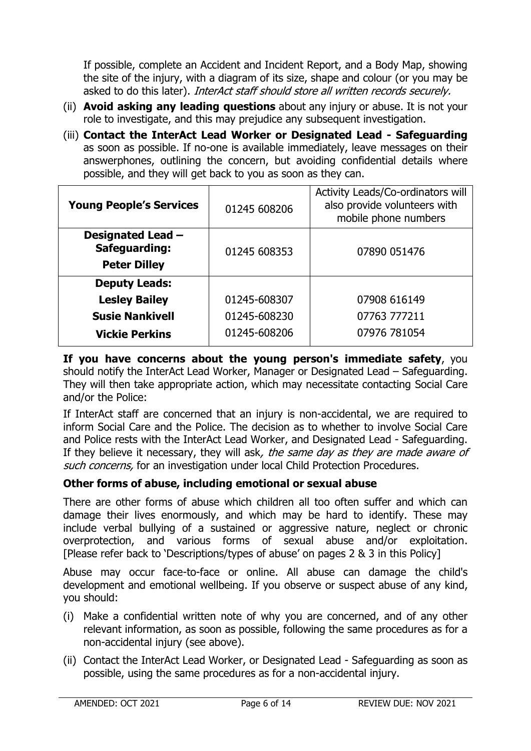If possible, complete an Accident and Incident Report, and a Body Map, showing the site of the injury, with a diagram of its size, shape and colour (or you may be asked to do this later). InterAct staff should store all written records securely.

- (ii) **Avoid asking any leading questions** about any injury or abuse. It is not your role to investigate, and this may prejudice any subsequent investigation.
- (iii) **Contact the InterAct Lead Worker or Designated Lead - Safeguarding**  as soon as possible. If no-one is available immediately, leave messages on their answerphones, outlining the concern, but avoiding confidential details where possible, and they will get back to you as soon as they can.

| <b>Young People's Services</b>                                   | 01245 608206 | Activity Leads/Co-ordinators will<br>also provide volunteers with<br>mobile phone numbers |
|------------------------------------------------------------------|--------------|-------------------------------------------------------------------------------------------|
| Designated Lead -<br><b>Safeguarding:</b><br><b>Peter Dilley</b> | 01245 608353 | 07890 051476                                                                              |
| <b>Deputy Leads:</b>                                             |              |                                                                                           |
| <b>Lesley Bailey</b>                                             | 01245-608307 | 07908 616149                                                                              |
| <b>Susie Nankivell</b>                                           | 01245-608230 | 07763 777211                                                                              |
| <b>Vickie Perkins</b>                                            | 01245-608206 | 07976 781054                                                                              |

**If you have concerns about the young person's immediate safety**, you should notify the InterAct Lead Worker, Manager or Designated Lead – Safeguarding. They will then take appropriate action, which may necessitate contacting Social Care and/or the Police:

If InterAct staff are concerned that an injury is non-accidental, we are required to inform Social Care and the Police. The decision as to whether to involve Social Care and Police rests with the InterAct Lead Worker, and Designated Lead - Safeguarding. If they believe it necessary, they will ask, the same day as they are made aware of such concerns, for an investigation under local Child Protection Procedures.

# **Other forms of abuse, including emotional or sexual abuse**

There are other forms of abuse which children all too often suffer and which can damage their lives enormously, and which may be hard to identify. These may include verbal bullying of a sustained or aggressive nature, neglect or chronic overprotection, and various forms of sexual abuse and/or exploitation. [Please refer back to 'Descriptions/types of abuse' on pages 2 & 3 in this Policy]

Abuse may occur face-to-face or online. All abuse can damage the child's development and emotional wellbeing. If you observe or suspect abuse of any kind, you should:

- (i) Make a confidential written note of why you are concerned, and of any other relevant information, as soon as possible, following the same procedures as for a non-accidental injury (see above).
- (ii) Contact the InterAct Lead Worker, or Designated Lead Safeguarding as soon as possible, using the same procedures as for a non-accidental injury.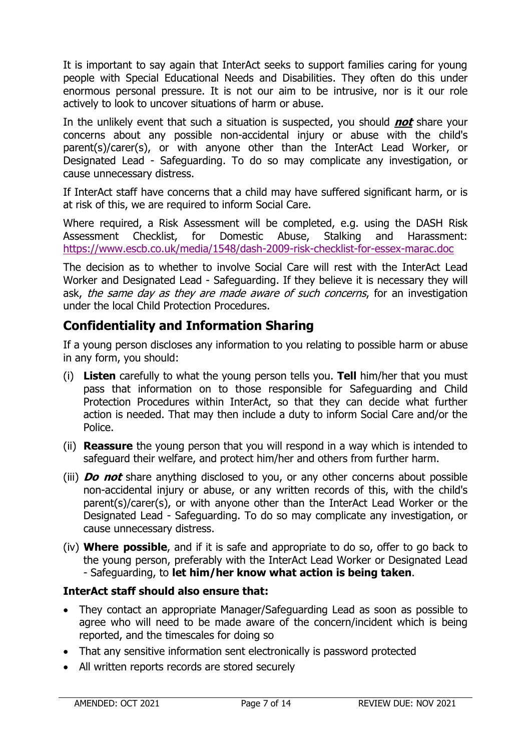It is important to say again that InterAct seeks to support families caring for young people with Special Educational Needs and Disabilities. They often do this under enormous personal pressure. It is not our aim to be intrusive, nor is it our role actively to look to uncover situations of harm or abuse.

In the unlikely event that such a situation is suspected, you should **not** share your concerns about any possible non-accidental injury or abuse with the child's parent(s)/carer(s), or with anyone other than the InterAct Lead Worker, or Designated Lead - Safeguarding. To do so may complicate any investigation, or cause unnecessary distress.

If InterAct staff have concerns that a child may have suffered significant harm, or is at risk of this, we are required to inform Social Care.

Where required, a Risk Assessment will be completed, e.g. using the DASH Risk Assessment Checklist, for Domestic Abuse, Stalking and Harassment: <https://www.escb.co.uk/media/1548/dash-2009-risk-checklist-for-essex-marac.doc>

The decision as to whether to involve Social Care will rest with the InterAct Lead Worker and Designated Lead - Safeguarding. If they believe it is necessary they will ask, the same day as they are made aware of such concerns, for an investigation under the local Child Protection Procedures.

# **Confidentiality and Information Sharing**

If a young person discloses any information to you relating to possible harm or abuse in any form, you should:

- (i) **Listen** carefully to what the young person tells you. **Tell** him/her that you must pass that information on to those responsible for Safeguarding and Child Protection Procedures within InterAct, so that they can decide what further action is needed. That may then include a duty to inform Social Care and/or the Police.
- (ii) **Reassure** the young person that you will respond in a way which is intended to safeguard their welfare, and protect him/her and others from further harm.
- (iii) **Do not** share anything disclosed to you, or any other concerns about possible non-accidental injury or abuse, or any written records of this, with the child's parent(s)/carer(s), or with anyone other than the InterAct Lead Worker or the Designated Lead - Safeguarding. To do so may complicate any investigation, or cause unnecessary distress.
- (iv) **Where possible**, and if it is safe and appropriate to do so, offer to go back to the young person, preferably with the InterAct Lead Worker or Designated Lead - Safeguarding, to **let him/her know what action is being taken**.

# **InterAct staff should also ensure that:**

- They contact an appropriate Manager/Safeguarding Lead as soon as possible to agree who will need to be made aware of the concern/incident which is being reported, and the timescales for doing so
- That any sensitive information sent electronically is password protected
- All written reports records are stored securely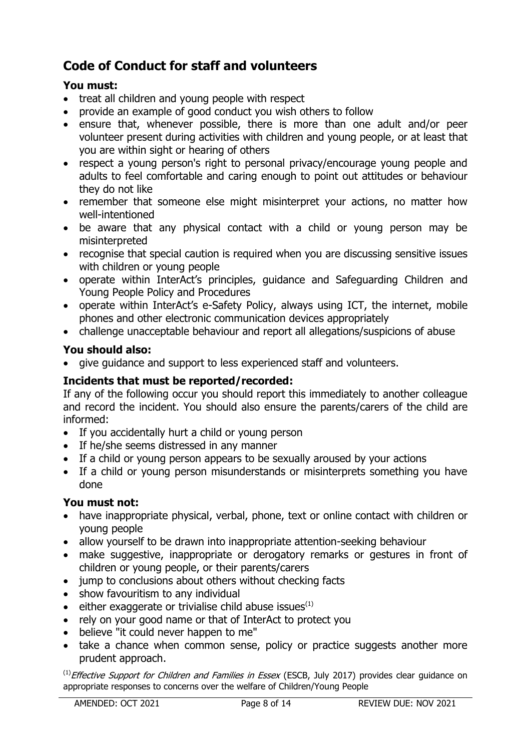# **Code of Conduct for staff and volunteers**

# **You must:**

- treat all children and young people with respect
- provide an example of good conduct you wish others to follow
- ensure that, whenever possible, there is more than one adult and/or peer volunteer present during activities with children and young people, or at least that you are within sight or hearing of others
- respect a young person's right to personal privacy/encourage young people and adults to feel comfortable and caring enough to point out attitudes or behaviour they do not like
- remember that someone else might misinterpret your actions, no matter how well-intentioned
- be aware that any physical contact with a child or young person may be misinterpreted
- recognise that special caution is required when you are discussing sensitive issues with children or young people
- operate within InterAct's principles, guidance and Safeguarding Children and Young People Policy and Procedures
- operate within InterAct's e-Safety Policy, always using ICT, the internet, mobile phones and other electronic communication devices appropriately
- challenge unacceptable behaviour and report all allegations/suspicions of abuse

# **You should also:**

give guidance and support to less experienced staff and volunteers.

# **Incidents that must be reported/recorded:**

If any of the following occur you should report this immediately to another colleague and record the incident. You should also ensure the parents/carers of the child are informed:

- If you accidentally hurt a child or young person
- If he/she seems distressed in any manner
- If a child or young person appears to be sexually aroused by your actions
- If a child or young person misunderstands or misinterprets something you have done

# **You must not:**

- have inappropriate physical, verbal, phone, text or online contact with children or young people
- allow yourself to be drawn into inappropriate attention-seeking behaviour
- make suggestive, inappropriate or derogatory remarks or gestures in front of children or young people, or their parents/carers
- jump to conclusions about others without checking facts
- show favouritism to any individual
- either exaggerate or trivialise child abuse issues<sup>(1)</sup>
- rely on your good name or that of InterAct to protect you
- believe "it could never happen to me"
- take a chance when common sense, policy or practice suggests another more prudent approach.

 $<sup>(1)</sup>$  *Effective Support for Children and Families in Essex* (ESCB, July 2017) provides clear guidance on</sup> appropriate responses to concerns over the welfare of Children/Young People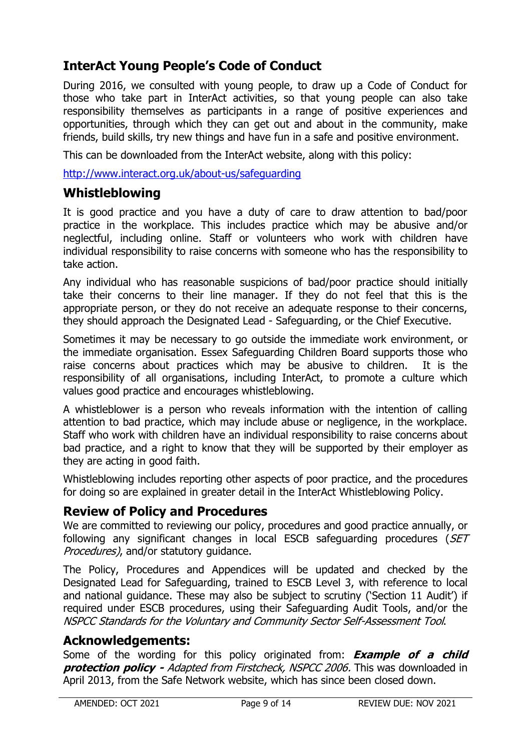# **InterAct Young People's Code of Conduct**

During 2016, we consulted with young people, to draw up a Code of Conduct for those who take part in InterAct activities, so that young people can also take responsibility themselves as participants in a range of positive experiences and opportunities, through which they can get out and about in the community, make friends, build skills, try new things and have fun in a safe and positive environment.

This can be downloaded from the InterAct website, along with this policy:

<http://www.interact.org.uk/about-us/safeguarding>

# **Whistleblowing**

It is good practice and you have a duty of care to draw attention to bad/poor practice in the workplace. This includes practice which may be abusive and/or neglectful, including online. Staff or volunteers who work with children have individual responsibility to raise concerns with someone who has the responsibility to take action.

Any individual who has reasonable suspicions of bad/poor practice should initially take their concerns to their line manager. If they do not feel that this is the appropriate person, or they do not receive an adequate response to their concerns, they should approach the Designated Lead - Safeguarding, or the Chief Executive.

Sometimes it may be necessary to go outside the immediate work environment, or the immediate organisation. Essex Safeguarding Children Board supports those who raise concerns about practices which may be abusive to children. It is the responsibility of all organisations, including InterAct, to promote a culture which values good practice and encourages whistleblowing.

A whistleblower is a person who reveals information with the intention of calling attention to bad practice, which may include abuse or negligence, in the workplace. Staff who work with children have an individual responsibility to raise concerns about bad practice, and a right to know that they will be supported by their employer as they are acting in good faith.

Whistleblowing includes reporting other aspects of poor practice, and the procedures for doing so are explained in greater detail in the InterAct Whistleblowing Policy.

# **Review of Policy and Procedures**

We are committed to reviewing our policy, procedures and good practice annually, or following any significant changes in local ESCB safeguarding procedures (SET Procedures), and/or statutory guidance.

The Policy, Procedures and Appendices will be updated and checked by the Designated Lead for Safeguarding, trained to ESCB Level 3, with reference to local and national guidance. These may also be subject to scrutiny ('Section 11 Audit') if required under ESCB procedures, using their Safeguarding Audit Tools, and/or the NSPCC Standards for the Voluntary and Community Sector Self-Assessment Tool.

# **Acknowledgements:**

Some of the wording for this policy originated from: **Example of a child protection policy -** Adapted from Firstcheck, NSPCC 2006. This was downloaded in April 2013, from the Safe Network website, which has since been closed down.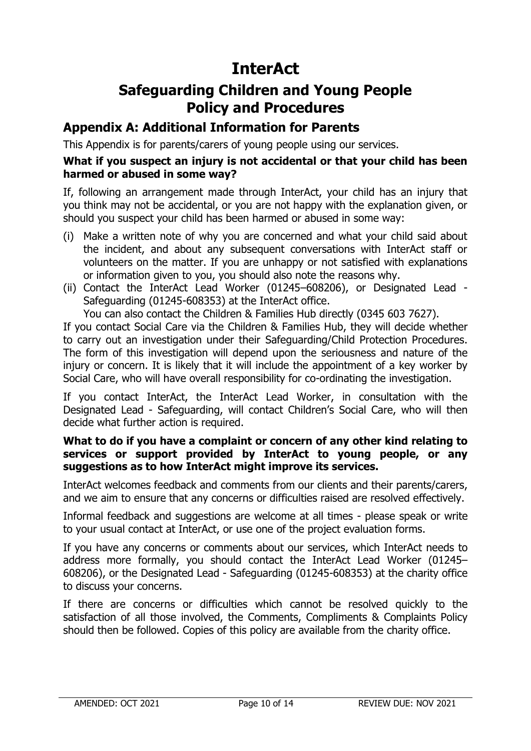# **Safeguarding Children and Young People Policy and Procedures**

# **Appendix A: Additional Information for Parents**

This Appendix is for parents/carers of young people using our services.

#### **What if you suspect an injury is not accidental or that your child has been harmed or abused in some way?**

If, following an arrangement made through InterAct, your child has an injury that you think may not be accidental, or you are not happy with the explanation given, or should you suspect your child has been harmed or abused in some way:

- (i) Make a written note of why you are concerned and what your child said about the incident, and about any subsequent conversations with InterAct staff or volunteers on the matter. If you are unhappy or not satisfied with explanations or information given to you, you should also note the reasons why.
- (ii) Contact the InterAct Lead Worker (01245–608206), or Designated Lead Safeguarding (01245-608353) at the InterAct office.

You can also contact the Children & Families Hub directly (0345 603 7627).

If you contact Social Care via the Children & Families Hub, they will decide whether to carry out an investigation under their Safeguarding/Child Protection Procedures. The form of this investigation will depend upon the seriousness and nature of the injury or concern. It is likely that it will include the appointment of a key worker by Social Care, who will have overall responsibility for co-ordinating the investigation.

If you contact InterAct, the InterAct Lead Worker, in consultation with the Designated Lead - Safeguarding, will contact Children's Social Care, who will then decide what further action is required.

#### **What to do if you have a complaint or concern of any other kind relating to services or support provided by InterAct to young people, or any suggestions as to how InterAct might improve its services.**

InterAct welcomes feedback and comments from our clients and their parents/carers, and we aim to ensure that any concerns or difficulties raised are resolved effectively.

Informal feedback and suggestions are welcome at all times - please speak or write to your usual contact at InterAct, or use one of the project evaluation forms.

If you have any concerns or comments about our services, which InterAct needs to address more formally, you should contact the InterAct Lead Worker (01245– 608206), or the Designated Lead - Safeguarding (01245-608353) at the charity office to discuss your concerns.

If there are concerns or difficulties which cannot be resolved quickly to the satisfaction of all those involved, the Comments, Compliments & Complaints Policy should then be followed. Copies of this policy are available from the charity office.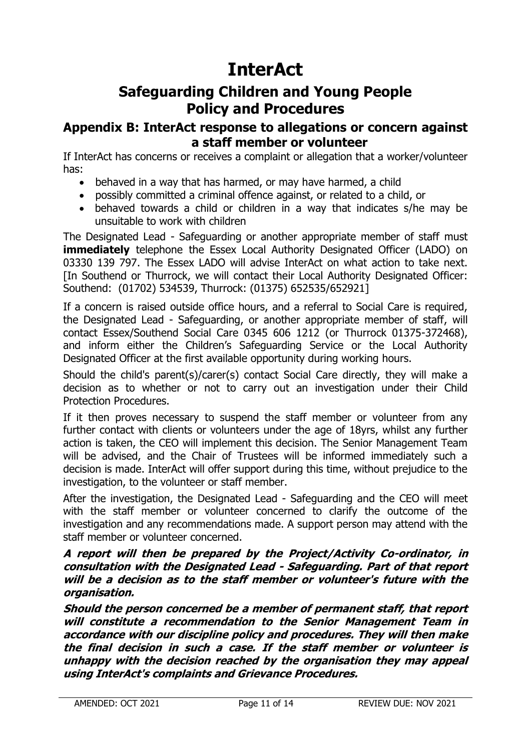# **Safeguarding Children and Young People Policy and Procedures**

# **Appendix B: InterAct response to allegations or concern against a staff member or volunteer**

If InterAct has concerns or receives a complaint or allegation that a worker/volunteer has:

- behaved in a way that has harmed, or may have harmed, a child
- possibly committed a criminal offence against, or related to a child, or
- behaved towards a child or children in a way that indicates s/he may be unsuitable to work with children

The Designated Lead - Safeguarding or another appropriate member of staff must **immediately** telephone the Essex Local Authority Designated Officer (LADO) on 03330 139 797. The Essex LADO will advise InterAct on what action to take next. [In Southend or Thurrock, we will contact their Local Authority Designated Officer: Southend: (01702) 534539, Thurrock: (01375) 652535/652921]

If a concern is raised outside office hours, and a referral to Social Care is required, the Designated Lead - Safeguarding, or another appropriate member of staff, will contact Essex/Southend Social Care 0345 606 1212 (or Thurrock 01375-372468), and inform either the Children's Safeguarding Service or the Local Authority Designated Officer at the first available opportunity during working hours.

Should the child's parent(s)/carer(s) contact Social Care directly, they will make a decision as to whether or not to carry out an investigation under their Child Protection Procedures.

If it then proves necessary to suspend the staff member or volunteer from any further contact with clients or volunteers under the age of 18yrs, whilst any further action is taken, the CEO will implement this decision. The Senior Management Team will be advised, and the Chair of Trustees will be informed immediately such a decision is made. InterAct will offer support during this time, without prejudice to the investigation, to the volunteer or staff member.

After the investigation, the Designated Lead - Safeguarding and the CEO will meet with the staff member or volunteer concerned to clarify the outcome of the investigation and any recommendations made. A support person may attend with the staff member or volunteer concerned.

#### **A report will then be prepared by the Project/Activity Co-ordinator, in consultation with the Designated Lead - Safeguarding. Part of that report will be a decision as to the staff member or volunteer's future with the organisation.**

**Should the person concerned be a member of permanent staff, that report will constitute a recommendation to the Senior Management Team in accordance with our discipline policy and procedures. They will then make the final decision in such a case. If the staff member or volunteer is unhappy with the decision reached by the organisation they may appeal using InterAct's complaints and Grievance Procedures.**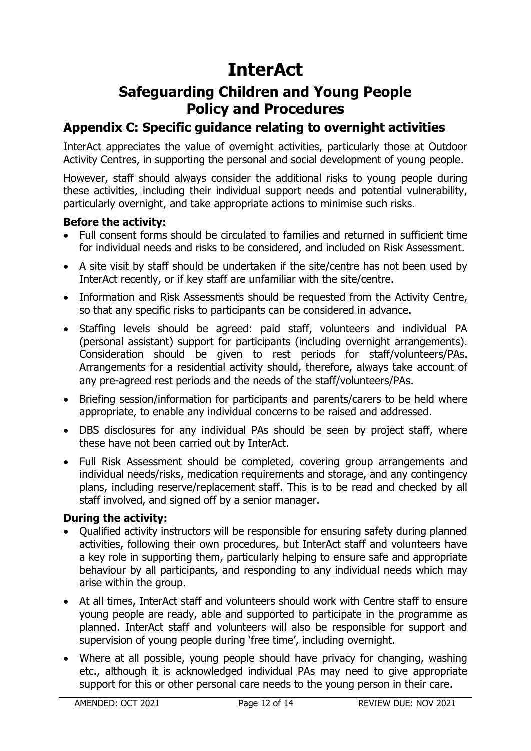# **Safeguarding Children and Young People Policy and Procedures**

# **Appendix C: Specific guidance relating to overnight activities**

InterAct appreciates the value of overnight activities, particularly those at Outdoor Activity Centres, in supporting the personal and social development of young people.

However, staff should always consider the additional risks to young people during these activities, including their individual support needs and potential vulnerability, particularly overnight, and take appropriate actions to minimise such risks.

#### **Before the activity:**

- Full consent forms should be circulated to families and returned in sufficient time for individual needs and risks to be considered, and included on Risk Assessment.
- A site visit by staff should be undertaken if the site/centre has not been used by InterAct recently, or if key staff are unfamiliar with the site/centre.
- Information and Risk Assessments should be requested from the Activity Centre, so that any specific risks to participants can be considered in advance.
- Staffing levels should be agreed: paid staff, volunteers and individual PA (personal assistant) support for participants (including overnight arrangements). Consideration should be given to rest periods for staff/volunteers/PAs. Arrangements for a residential activity should, therefore, always take account of any pre-agreed rest periods and the needs of the staff/volunteers/PAs.
- Briefing session/information for participants and parents/carers to be held where appropriate, to enable any individual concerns to be raised and addressed.
- DBS disclosures for any individual PAs should be seen by project staff, where these have not been carried out by InterAct.
- Full Risk Assessment should be completed, covering group arrangements and individual needs/risks, medication requirements and storage, and any contingency plans, including reserve/replacement staff. This is to be read and checked by all staff involved, and signed off by a senior manager.

#### **During the activity:**

- Qualified activity instructors will be responsible for ensuring safety during planned activities, following their own procedures, but InterAct staff and volunteers have a key role in supporting them, particularly helping to ensure safe and appropriate behaviour by all participants, and responding to any individual needs which may arise within the group.
- At all times, InterAct staff and volunteers should work with Centre staff to ensure young people are ready, able and supported to participate in the programme as planned. InterAct staff and volunteers will also be responsible for support and supervision of young people during 'free time', including overnight.
- Where at all possible, young people should have privacy for changing, washing etc., although it is acknowledged individual PAs may need to give appropriate support for this or other personal care needs to the young person in their care.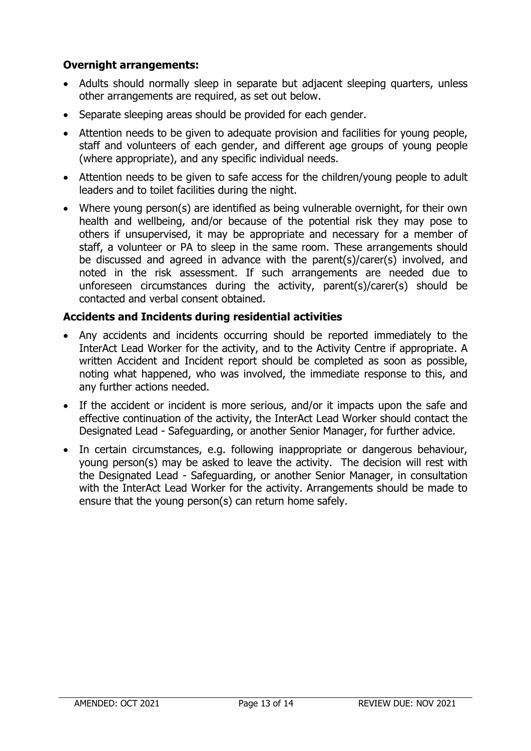# **Overnight arrangements:**

- Adults should normally sleep in separate but adjacent sleeping quarters, unless other arrangements are required, as set out below.
- Separate sleeping areas should be provided for each gender.
- Attention needs to be given to adequate provision and facilities for young people, staff and volunteers of each gender, and different age groups of young people (where appropriate), and any specific individual needs.
- Attention needs to be given to safe access for the children/young people to adult leaders and to toilet facilities during the night.
- Where young person(s) are identified as being vulnerable overnight, for their own health and wellbeing, and/or because of the potential risk they may pose to others if unsupervised, it may be appropriate and necessary for a member of staff, a volunteer or PA to sleep in the same room. These arrangements should be discussed and agreed in advance with the parent(s)/carer(s) involved, and noted in the risk assessment. If such arrangements are needed due to unforeseen circumstances during the activity, parent(s)/carer(s) should be contacted and verbal consent obtained.

# **Accidents and Incidents during residential activities**

- Any accidents and incidents occurring should be reported immediately to the InterAct Lead Worker for the activity, and to the Activity Centre if appropriate. A written Accident and Incident report should be completed as soon as possible, noting what happened, who was involved, the immediate response to this, and any further actions needed.
- If the accident or incident is more serious, and/or it impacts upon the safe and effective continuation of the activity, the InterAct Lead Worker should contact the Designated Lead - Safeguarding, or another Senior Manager, for further advice.
- In certain circumstances, e.g. following inappropriate or dangerous behaviour, young person(s) may be asked to leave the activity. The decision will rest with the Designated Lead - Safeguarding, or another Senior Manager, in consultation with the InterAct Lead Worker for the activity. Arrangements should be made to ensure that the young person(s) can return home safely.